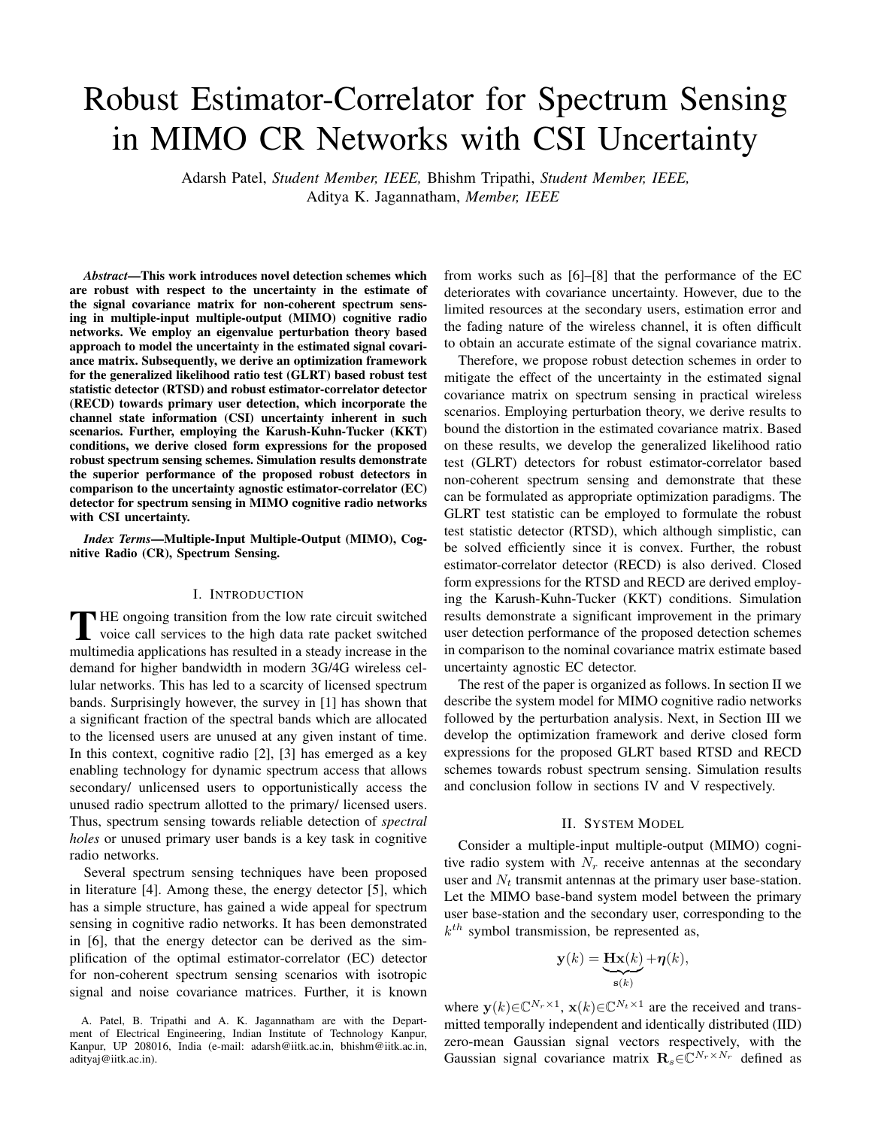# Robust Estimator-Correlator for Spectrum Sensing in MIMO CR Networks with CSI Uncertainty

Adarsh Patel, *Student Member, IEEE,* Bhishm Tripathi, *Student Member, IEEE,* Aditya K. Jagannatham, *Member, IEEE*

*Abstract*—This work introduces novel detection schemes which are robust with respect to the uncertainty in the estimate of the signal covariance matrix for non-coherent spectrum sensing in multiple-input multiple-output (MIMO) cognitive radio networks. We employ an eigenvalue perturbation theory based approach to model the uncertainty in the estimated signal covariance matrix. Subsequently, we derive an optimization framework for the generalized likelihood ratio test (GLRT) based robust test statistic detector (RTSD) and robust estimator-correlator detector (RECD) towards primary user detection, which incorporate the channel state information (CSI) uncertainty inherent in such scenarios. Further, employing the Karush-Kuhn-Tucker (KKT) conditions, we derive closed form expressions for the proposed robust spectrum sensing schemes. Simulation results demonstrate the superior performance of the proposed robust detectors in comparison to the uncertainty agnostic estimator-correlator (EC) detector for spectrum sensing in MIMO cognitive radio networks with CSI uncertainty.

*Index Terms*—Multiple-Input Multiple-Output (MIMO), Cognitive Radio (CR), Spectrum Sensing.

# I. INTRODUCTION

THE ongoing transition from the low rate circuit switched<br>voice call services to the high data rate packet switched<br>multimedia analizations has multed in a steady increase in the voice call services to the high data rate packet switched multimedia applications has resulted in a steady increase in the demand for higher bandwidth in modern 3G/4G wireless cellular networks. This has led to a scarcity of licensed spectrum bands. Surprisingly however, the survey in [1] has shown that a significant fraction of the spectral bands which are allocated to the licensed users are unused at any given instant of time. In this context, cognitive radio [2], [3] has emerged as a key enabling technology for dynamic spectrum access that allows secondary/ unlicensed users to opportunistically access the unused radio spectrum allotted to the primary/ licensed users. Thus, spectrum sensing towards reliable detection of *spectral holes* or unused primary user bands is a key task in cognitive radio networks.

Several spectrum sensing techniques have been proposed in literature [4]. Among these, the energy detector [5], which has a simple structure, has gained a wide appeal for spectrum sensing in cognitive radio networks. It has been demonstrated in [6], that the energy detector can be derived as the simplification of the optimal estimator-correlator (EC) detector for non-coherent spectrum sensing scenarios with isotropic signal and noise covariance matrices. Further, it is known from works such as [6]–[8] that the performance of the EC deteriorates with covariance uncertainty. However, due to the limited resources at the secondary users, estimation error and the fading nature of the wireless channel, it is often difficult to obtain an accurate estimate of the signal covariance matrix.

Therefore, we propose robust detection schemes in order to mitigate the effect of the uncertainty in the estimated signal covariance matrix on spectrum sensing in practical wireless scenarios. Employing perturbation theory, we derive results to bound the distortion in the estimated covariance matrix. Based on these results, we develop the generalized likelihood ratio test (GLRT) detectors for robust estimator-correlator based non-coherent spectrum sensing and demonstrate that these can be formulated as appropriate optimization paradigms. The GLRT test statistic can be employed to formulate the robust test statistic detector (RTSD), which although simplistic, can be solved efficiently since it is convex. Further, the robust estimator-correlator detector (RECD) is also derived. Closed form expressions for the RTSD and RECD are derived employing the Karush-Kuhn-Tucker (KKT) conditions. Simulation results demonstrate a significant improvement in the primary user detection performance of the proposed detection schemes in comparison to the nominal covariance matrix estimate based uncertainty agnostic EC detector.

The rest of the paper is organized as follows. In section II we describe the system model for MIMO cognitive radio networks followed by the perturbation analysis. Next, in Section III we develop the optimization framework and derive closed form expressions for the proposed GLRT based RTSD and RECD schemes towards robust spectrum sensing. Simulation results and conclusion follow in sections IV and V respectively.

# II. SYSTEM MODEL

Consider a multiple-input multiple-output (MIMO) cognitive radio system with  $N_r$  receive antennas at the secondary user and  $N_t$  transmit antennas at the primary user base-station. Let the MIMO base-band system model between the primary user base-station and the secondary user, corresponding to the *k th* symbol transmission, be represented as,

$$
\mathbf{y}(k) = \underbrace{\mathbf{H}\mathbf{x}(k)}_{\mathbf{s}(k)} + \boldsymbol{\eta}(k),
$$

where  $\mathbf{y}(k) \in \mathbb{C}^{N_r \times 1}$ ,  $\mathbf{x}(k) \in \mathbb{C}^{N_t \times 1}$  are the received and transmitted temporally independent and identically distributed (IID) zero-mean Gaussian signal vectors respectively, with the Gaussian signal covariance matrix  $\mathbf{R}_s \in \mathbb{C}^{N_r \times N_r}$  defined as

A. Patel, B. Tripathi and A. K. Jagannatham are with the Department of Electrical Engineering, Indian Institute of Technology Kanpur, Kanpur, UP 208016, India (e-mail: adarsh@iitk.ac.in, bhishm@iitk.ac.in, adityaj@iitk.ac.in).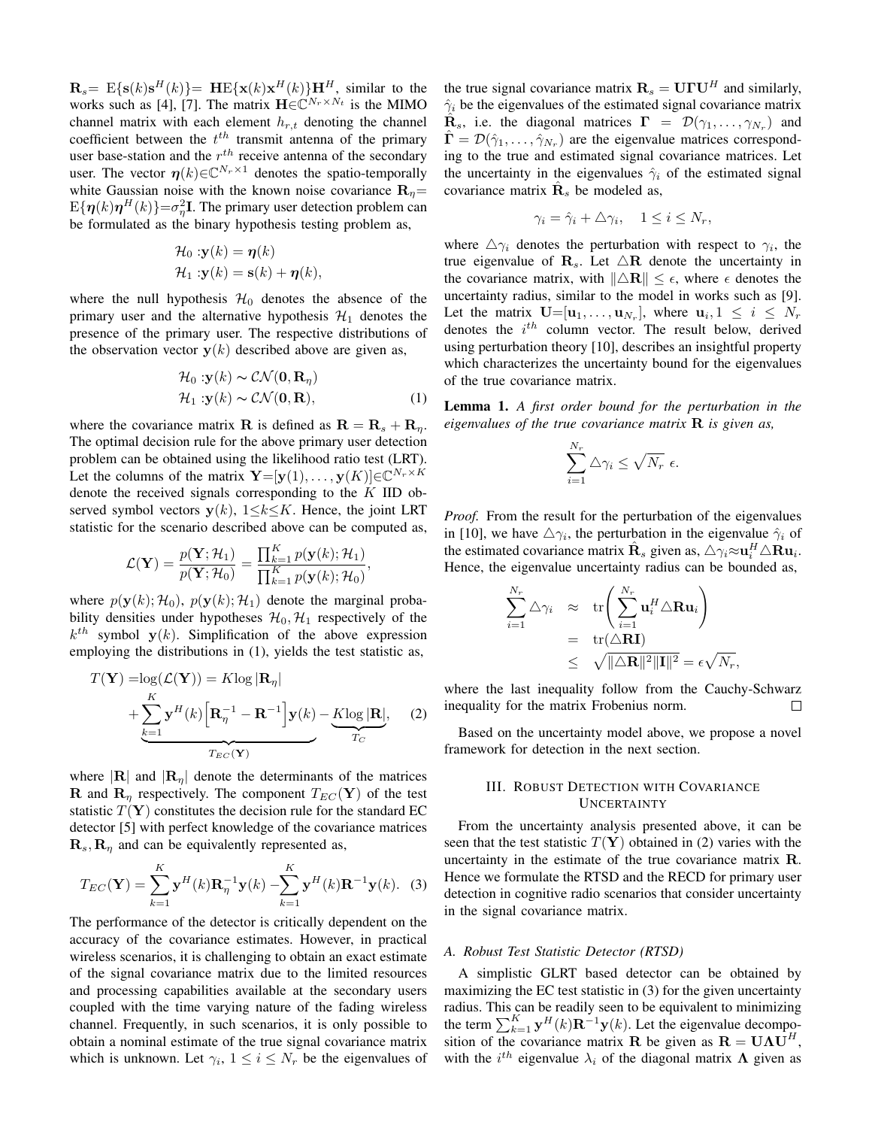$\mathbf{R}_s = \mathbb{E}\{\mathbf{s}(k)\mathbf{s}^H(k)\} = \mathbf{H}\mathbb{E}\{\mathbf{x}(k)\mathbf{x}^H(k)\}\mathbf{H}^H$ , similar to the works such as [4], [7]. The matrix  $\mathbf{H} \in \mathbb{C}^{N_r \times N_t}$  is the MIMO channel matrix with each element  $h_{r,t}$  denoting the channel coefficient between the *t th* transmit antenna of the primary user base-station and the *r th* receive antenna of the secondary user. The vector  $\eta(k) \in \mathbb{C}^{N_r \times 1}$  denotes the spatio-temporally white Gaussian noise with the known noise covariance  $\mathbf{R}_n =$  $E{\{\boldsymbol{\eta}(k)\boldsymbol{\eta}^H(k)\}} = \sigma_{\eta}^2 \mathbf{I}$ . The primary user detection problem can be formulated as the binary hypothesis testing problem as,

$$
\mathcal{H}_0: \mathbf{y}(k) = \mathbf{\eta}(k)
$$
  

$$
\mathcal{H}_1: \mathbf{y}(k) = \mathbf{s}(k) + \mathbf{\eta}(k),
$$

where the null hypothesis  $\mathcal{H}_0$  denotes the absence of the primary user and the alternative hypothesis  $\mathcal{H}_1$  denotes the presence of the primary user. The respective distributions of the observation vector  $y(k)$  described above are given as,

$$
\mathcal{H}_0: \mathbf{y}(k) \sim \mathcal{CN}(\mathbf{0}, \mathbf{R}_{\eta})
$$
  

$$
\mathcal{H}_1: \mathbf{y}(k) \sim \mathcal{CN}(\mathbf{0}, \mathbf{R}),
$$
 (1)

where the covariance matrix **R** is defined as  $\mathbf{R} = \mathbf{R}_s + \mathbf{R}_n$ . The optimal decision rule for the above primary user detection problem can be obtained using the likelihood ratio test (LRT). Let the columns of the matrix  $\mathbf{Y} = [\mathbf{y}(1), \dots, \mathbf{y}(K)] \in \mathbb{C}^{N_r \times K}$ denote the received signals corresponding to the *K* IID observed symbol vectors  $y(k)$ ,  $1 \le k \le K$ . Hence, the joint LRT statistic for the scenario described above can be computed as,

$$
\mathcal{L}(\mathbf{Y}) = \frac{p(\mathbf{Y}; \mathcal{H}_1)}{p(\mathbf{Y}; \mathcal{H}_0)} = \frac{\prod_{k=1}^K p(\mathbf{y}(k); \mathcal{H}_1)}{\prod_{k=1}^K p(\mathbf{y}(k); \mathcal{H}_0)},
$$

where  $p(\mathbf{y}(k); \mathcal{H}_0)$ ,  $p(\mathbf{y}(k); \mathcal{H}_1)$  denote the marginal probability densities under hypotheses  $\mathcal{H}_0$ ,  $\mathcal{H}_1$  respectively of the  $k^{th}$  symbol  $y(k)$ . Simplification of the above expression employing the distributions in (1), yields the test statistic as,

$$
T(\mathbf{Y}) = \log(\mathcal{L}(\mathbf{Y})) = K \log |\mathbf{R}_{\eta}|
$$
  
+ 
$$
\sum_{k=1}^{K} \mathbf{y}^{H}(k) \left[ \mathbf{R}_{\eta}^{-1} - \mathbf{R}^{-1} \right] \mathbf{y}(k) - K \log |\mathbf{R}|,
$$
 (2)

where  $|\mathbf{R}|$  and  $|\mathbf{R}_n|$  denote the determinants of the matrices **R** and  $\mathbf{R}_n$  respectively. The component  $T_{EC}(\mathbf{Y})$  of the test statistic  $T(Y)$  constitutes the decision rule for the standard EC detector [5] with perfect knowledge of the covariance matrices  $\mathbf{R}_s$ ,  $\mathbf{R}_\eta$  and can be equivalently represented as,

$$
T_{EC}(\mathbf{Y}) = \sum_{k=1}^{K} \mathbf{y}^{H}(k) \mathbf{R}_{\eta}^{-1} \mathbf{y}(k) - \sum_{k=1}^{K} \mathbf{y}^{H}(k) \mathbf{R}^{-1} \mathbf{y}(k).
$$
 (3)

The performance of the detector is critically dependent on the accuracy of the covariance estimates. However, in practical wireless scenarios, it is challenging to obtain an exact estimate of the signal covariance matrix due to the limited resources and processing capabilities available at the secondary users coupled with the time varying nature of the fading wireless channel. Frequently, in such scenarios, it is only possible to obtain a nominal estimate of the true signal covariance matrix which is unknown. Let  $\gamma_i$ ,  $1 \leq i \leq N_r$  be the eigenvalues of the true signal covariance matrix  $\mathbf{R}_s = \mathbf{U} \mathbf{\Gamma} \mathbf{U}^H$  and similarly,  $\hat{\gamma}_i$  be the eigenvalues of the estimated signal covariance matrix  $\hat{\mathbf{R}}_s$ , i.e. the diagonal matrices  $\mathbf{\Gamma} = \mathcal{D}(\gamma_1, \dots, \gamma_{N_r})$  and  $\hat{\mathbf{\Gamma}} = \mathcal{D}(\hat{\gamma}_1, \dots, \hat{\gamma}_{N_r})$  are the eigenvalue matrices corresponding to the true and estimated signal covariance matrices. Let the uncertainty in the eigenvalues  $\hat{\gamma}_i$  of the estimated signal covariance matrix  $\hat{\mathbf{R}}_s$  be modeled as,

$$
\gamma_i = \hat{\gamma}_i + \triangle \gamma_i, \quad 1 \le i \le N_r,
$$

where  $\Delta \gamma_i$  denotes the perturbation with respect to  $\gamma_i$ , the true eigenvalue of  $\mathbf{R}_s$ . Let  $\triangle \mathbf{R}$  denote the uncertainty in the covariance matrix, with  $\|\Delta \mathbf{R}\| \leq \epsilon$ , where  $\epsilon$  denotes the uncertainty radius, similar to the model in works such as [9]. Let the matrix  $\mathbf{U}=[\mathbf{u}_1,\ldots,\mathbf{u}_{N_r}],$  where  $\mathbf{u}_i, 1 \leq i \leq N_r$ denotes the *i th* column vector. The result below, derived using perturbation theory [10], describes an insightful property which characterizes the uncertainty bound for the eigenvalues of the true covariance matrix.

Lemma 1. *A first order bound for the perturbation in the eigenvalues of the true covariance matrix* **R** *is given as,*

$$
\sum_{i=1}^{N_r} \Delta \gamma_i \leq \sqrt{N_r} \epsilon.
$$

*Proof.* From the result for the perturbation of the eigenvalues in [10], we have  $\Delta \gamma_i$ , the perturbation in the eigenvalue  $\hat{\gamma}_i$  of the estimated covariance matrix  $\hat{\mathbf{R}}_s$  given as,  $\Delta \gamma_i \approx \mathbf{u}_i^H \Delta \mathbf{R} \mathbf{u}_i$ . Hence, the eigenvalue uncertainty radius can be bounded as,

$$
\sum_{i=1}^{N_r} \Delta \gamma_i \quad \approx \quad \text{tr}\left(\sum_{i=1}^{N_r} \mathbf{u}_i^H \Delta \mathbf{R} \mathbf{u}_i\right)
$$
\n
$$
= \quad \text{tr}(\Delta \mathbf{R} \mathbf{I})
$$
\n
$$
\leq \quad \sqrt{\|\Delta \mathbf{R}\|^2 \|\mathbf{I}\|^2} = \epsilon \sqrt{N_r},
$$

where the last inequality follow from the Cauchy-Schwarz inequality for the matrix Frobenius norm.  $\Box$ 

Based on the uncertainty model above, we propose a novel framework for detection in the next section.

# III. ROBUST DETECTION WITH COVARIANCE UNCERTAINTY

From the uncertainty analysis presented above, it can be seen that the test statistic  $T(Y)$  obtained in (2) varies with the uncertainty in the estimate of the true covariance matrix **R**. Hence we formulate the RTSD and the RECD for primary user detection in cognitive radio scenarios that consider uncertainty in the signal covariance matrix.

#### *A. Robust Test Statistic Detector (RTSD)*

A simplistic GLRT based detector can be obtained by maximizing the EC test statistic in (3) for the given uncertainty radius. This can be readily seen to be equivalent to minimizing the term  $\sum_{k=1}^{K}$  **y**<sup>*H*</sup>(*k*)**R**<sup>-1</sup>**y**(*k*). Let the eigenvalue decomposition of the covariance matrix **R** be given as  $\mathbf{R} = \mathbf{U}\boldsymbol{\Lambda}\mathbf{U}^H$ , with the  $i^{th}$  eigenvalue  $\lambda_i$  of the diagonal matrix  $\Lambda$  given as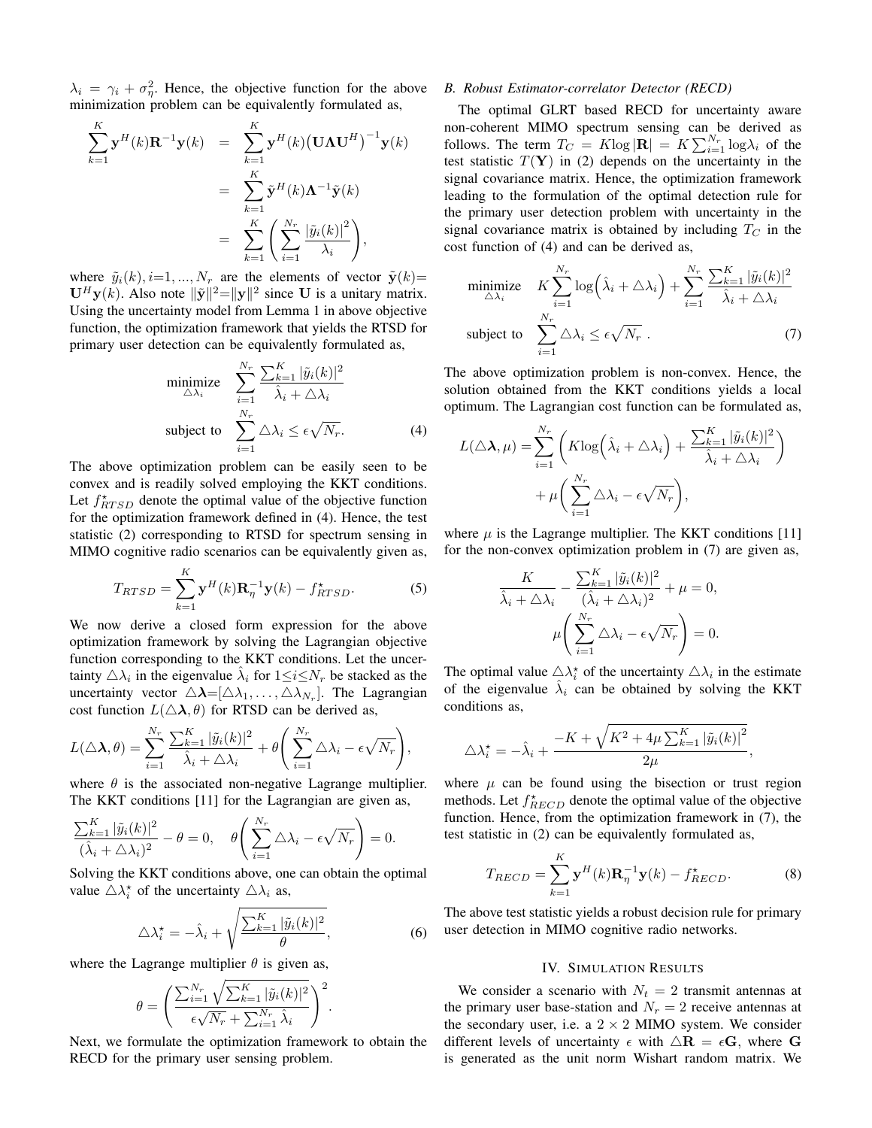$\lambda_i = \gamma_i + \sigma_{\eta}^2$ . Hence, the objective function for the above minimization problem can be equivalently formulated as,

$$
\sum_{k=1}^{K} \mathbf{y}^{H}(k) \mathbf{R}^{-1} \mathbf{y}(k) = \sum_{k=1}^{K} \mathbf{y}^{H}(k) (\mathbf{U} \mathbf{\Lambda} \mathbf{U}^{H})^{-1} \mathbf{y}(k)
$$

$$
= \sum_{k=1}^{K} \tilde{\mathbf{y}}^{H}(k) \mathbf{\Lambda}^{-1} \tilde{\mathbf{y}}(k)
$$

$$
= \sum_{k=1}^{K} \left( \sum_{i=1}^{N_{r}} \frac{|\tilde{y}_{i}(k)|^{2}}{\lambda_{i}} \right),
$$

where  $\tilde{y}_i(k)$ ,  $i=1,..., N_r$  are the elements of vector  $\tilde{y}(k)$ =  $\mathbf{U}^H \mathbf{y}(k)$ . Also note  $\|\tilde{\mathbf{y}}\|^2 = \|\mathbf{y}\|^2$  since **U** is a unitary matrix. Using the uncertainty model from Lemma 1 in above objective function, the optimization framework that yields the RTSD for primary user detection can be equivalently formulated as,

$$
\begin{array}{ll}\text{minimize} & \sum_{i=1}^{N_r} \frac{\sum_{k=1}^K |\tilde{y}_i(k)|^2}{\hat{\lambda}_i + \triangle \lambda_i} \\ \text{subject to} & \sum_{i=1}^{N_r} \triangle \lambda_i \le \epsilon \sqrt{N_r}. \end{array} \tag{4}
$$

The above optimization problem can be easily seen to be convex and is readily solved employing the KKT conditions. Let  $f_{RTSD}^{\star}$  denote the optimal value of the objective function for the optimization framework defined in (4). Hence, the test statistic (2) corresponding to RTSD for spectrum sensing in MIMO cognitive radio scenarios can be equivalently given as,

$$
T_{RTSD} = \sum_{k=1}^{K} \mathbf{y}^{H}(k) \mathbf{R}_{\eta}^{-1} \mathbf{y}(k) - f_{RTSD}^{\star}.
$$
 (5)

We now derive a closed form expression for the above optimization framework by solving the Lagrangian objective function corresponding to the KKT conditions. Let the uncertainty  $\triangle \lambda_i$  in the eigenvalue  $\hat{\lambda}_i$  for  $1 \leq i \leq N_r$  be stacked as the uncertainty vector  $\triangle \lambda = [\triangle \lambda_1, \dots, \triangle \lambda_{N_r}]$ . The Lagrangian cost function  $L(\Delta \lambda, \theta)$  for RTSD can be derived as,

$$
L(\triangle \lambda, \theta) = \sum_{i=1}^{N_r} \frac{\sum_{k=1}^{K} |\tilde{y}_i(k)|^2}{\hat{\lambda}_i + \triangle \lambda_i} + \theta \left( \sum_{i=1}^{N_r} \triangle \lambda_i - \epsilon \sqrt{N_r} \right),
$$

where  $\theta$  is the associated non-negative Lagrange multiplier. The KKT conditions [11] for the Lagrangian are given as,

$$
\frac{\sum_{k=1}^{K} |\tilde{y}_i(k)|^2}{(\hat{\lambda}_i + \triangle \lambda_i)^2} - \theta = 0, \quad \theta \left( \sum_{i=1}^{N_r} \triangle \lambda_i - \epsilon \sqrt{N_r} \right) = 0.
$$

Solving the KKT conditions above, one can obtain the optimal value  $\triangle \lambda_i^*$  of the uncertainty  $\triangle \lambda_i$  as,

$$
\triangle \lambda_i^* = -\hat{\lambda}_i + \sqrt{\frac{\sum_{k=1}^K |\tilde{y}_i(k)|^2}{\theta}},\tag{6}
$$

where the Lagrange multiplier  $\theta$  is given as,

$$
\theta = \left(\frac{\sum_{i=1}^{N_r} \sqrt{\sum_{k=1}^K |\tilde{y}_i(k)|^2}}{\epsilon \sqrt{N_r} + \sum_{i=1}^{N_r} \hat{\lambda}_i}\right)^2.
$$

Next, we formulate the optimization framework to obtain the RECD for the primary user sensing problem.

#### *B. Robust Estimator-correlator Detector (RECD)*

The optimal GLRT based RECD for uncertainty aware non-coherent MIMO spectrum sensing can be derived as follows. The term  $T_C = K \log |\mathbf{R}| = K \sum_{i=1}^{N_r} \log \lambda_i$  of the test statistic  $T(Y)$  in (2) depends on the uncertainty in the signal covariance matrix. Hence, the optimization framework leading to the formulation of the optimal detection rule for the primary user detection problem with uncertainty in the signal covariance matrix is obtained by including  $T_C$  in the cost function of (4) and can be derived as,

$$
\begin{array}{ll}\text{minimize} & K \sum_{i=1}^{N_r} \log \left( \hat{\lambda}_i + \triangle \lambda_i \right) + \sum_{i=1}^{N_r} \frac{\sum_{k=1}^K |\tilde{y}_i(k)|^2}{\hat{\lambda}_i + \triangle \lambda_i} \\ \text{subject to} & \sum_{i=1}^{N_r} \triangle \lambda_i \le \epsilon \sqrt{N_r} \end{array} \tag{7}
$$

The above optimization problem is non-convex. Hence, the solution obtained from the KKT conditions yields a local optimum. The Lagrangian cost function can be formulated as,

$$
L(\Delta \lambda, \mu) = \sum_{i=1}^{N_r} \left( K \log \left( \hat{\lambda}_i + \Delta \lambda_i \right) + \frac{\sum_{k=1}^{K} |\tilde{y}_i(k)|^2}{\hat{\lambda}_i + \Delta \lambda_i} \right) + \mu \left( \sum_{i=1}^{N_r} \Delta \lambda_i - \epsilon \sqrt{N_r} \right),
$$

where  $\mu$  is the Lagrange multiplier. The KKT conditions [11] for the non-convex optimization problem in (7) are given as,

$$
\frac{K}{\hat{\lambda}_i + \Delta \lambda_i} - \frac{\sum_{k=1}^{K} |\tilde{y}_i(k)|^2}{(\hat{\lambda}_i + \Delta \lambda_i)^2} + \mu = 0,
$$
  

$$
\mu \left( \sum_{i=1}^{N_r} \Delta \lambda_i - \epsilon \sqrt{N_r} \right) = 0.
$$

The optimal value  $\triangle \lambda_i^*$  of the uncertainty  $\triangle \lambda_i$  in the estimate of the eigenvalue  $\hat{\lambda}_i$  can be obtained by solving the KKT conditions as,

$$
\triangle \lambda_i^{\star} = -\hat{\lambda}_i + \frac{-K + \sqrt{K^2 + 4\mu \sum_{k=1}^K |\tilde{y}_i(k)|^2}}{2\mu},
$$

where  $\mu$  can be found using the bisection or trust region methods. Let  $f^*_{RECD}$  denote the optimal value of the objective function. Hence, from the optimization framework in (7), the test statistic in (2) can be equivalently formulated as,

$$
T_{RECD} = \sum_{k=1}^{K} \mathbf{y}^{H}(k) \mathbf{R}_{\eta}^{-1} \mathbf{y}(k) - f_{RECD}^{\star}.
$$
 (8)

The above test statistic yields a robust decision rule for primary user detection in MIMO cognitive radio networks.

# IV. SIMULATION RESULTS

We consider a scenario with  $N_t = 2$  transmit antennas at the primary user base-station and  $N_r = 2$  receive antennas at the secondary user, i.e. a  $2 \times 2$  MIMO system. We consider different levels of uncertainty  $\epsilon$  with  $\Delta \mathbf{R} = \epsilon \mathbf{G}$ , where G is generated as the unit norm Wishart random matrix. We